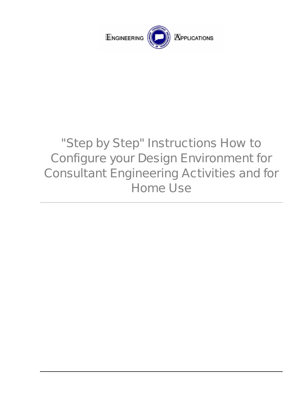

## "Step by Step" Instructions How to Configure your Design Environment for Consultant Engineering Activities and for Home Use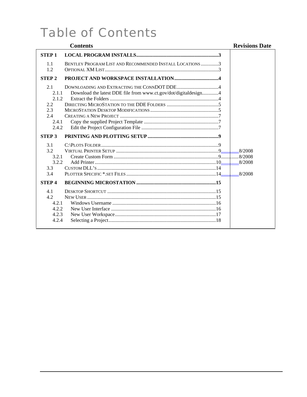## **Table of Contents**

|                                                                                                      | <b>Contents</b>                                                 | <b>Revisions Date</b> |
|------------------------------------------------------------------------------------------------------|-----------------------------------------------------------------|-----------------------|
| <b>STEP1</b>                                                                                         |                                                                 |                       |
| 1.1<br>1.2                                                                                           | BENTLEY PROGRAM LIST AND RECOMMENDED INSTALL LOCATIONS 3        |                       |
| <b>STEP2</b>                                                                                         |                                                                 |                       |
| 2.1<br>2.1.1<br>2.1.2<br>2.2<br>2.3<br>2.4<br>2.4.1<br>2.4.2<br><b>STEP 3</b><br>3.1<br>3.2<br>3.2.1 | Download the latest DDE file from www.ct.gov/dot/digitaldesign4 |                       |
| 3.2.2<br>3.3                                                                                         |                                                                 |                       |
| 3.4                                                                                                  |                                                                 |                       |
| <b>STEP4</b>                                                                                         |                                                                 |                       |
| 4.1<br>4.2<br>4.2.1<br>4.2.2<br>4.2.3<br>4.2.4                                                       |                                                                 |                       |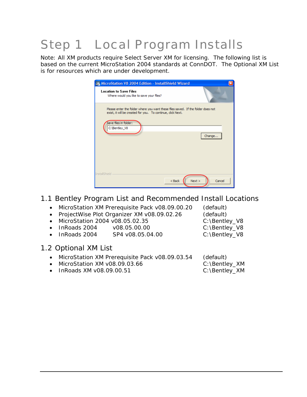# <span id="page-2-0"></span>Step 1 Local Program Installs

Note: All XM products require Select Server XM for licensing. The following list is based on the current MicroStation 2004 standards at ConnDOT. The Optional XM List is for resources which are under development.

| MicroStation V8 2004 Edition - InstallShield Wizard                                                                                             | ×      |
|-------------------------------------------------------------------------------------------------------------------------------------------------|--------|
| <b>Location to Save Files</b><br>Where would you like to save your files?                                                                       |        |
| Please enter the folder where you want these files saved. If the folder does not<br>exist, it will be created for you. To continue, click Next. |        |
| Save files in folder:<br>C:\Bentley_V8                                                                                                          |        |
|                                                                                                                                                 | Change |
|                                                                                                                                                 |        |
| <b>InstallShield</b>                                                                                                                            |        |
| $Back$<br>Next >                                                                                                                                | Cancel |

#### 1.1 Bentley Program List and Recommended Install Locations

- MicroStation XM Prerequisite Pack v08.09.00.20 (default)
- ProjectWise Plot Organizer XM v08.09.02.26 (default)
- MicroStation 2004 v08.05.02.35 C:\Bentley\_V8
- InRoads 2004 v08.05.00.00 C:\Bentley\_V8
- InRoads 2004 SP4 v08.05.04.00 C:\Bentley\_V8
- 1.2 Optional XM List
	- MicroStation XM Prerequisite Pack v08.09.03.54 (default)
	- MicroStation XM v08.09.03.66 C:\Bentley\_XM
	- InRoads XM v08.09.00.51 C:\Bentley\_XM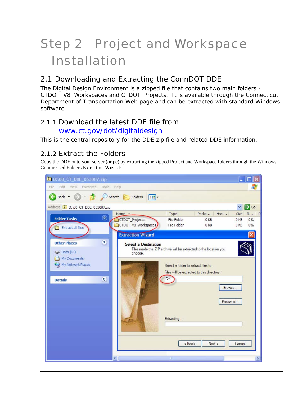# <span id="page-3-0"></span>Step 2 Project and Workspace Installation

## 2.1 Downloading and Extracting the ConnDOT DDE

The Digital Design Environment is a zipped file that contains two main folders - CTDOT\_V8\_Workspaces and CTDOT\_Projects. It is available through the Connecticut Department of Transportation Web page and can be extracted with standard Windows software.

#### 2.1.1 Download the latest DDE file from [www.ct.gov/dot/digitaldesign](http://www.ct.gov/dot/digitaldesign)

This is the central repository for the DDE zip file and related DDE information.

## 2.1.2 Extract the Folders

Copy the DDE onto your server (or pc) by extracting the zipped Project and Workspace folders through the Windows Compressed Folders Extraction Wizard:

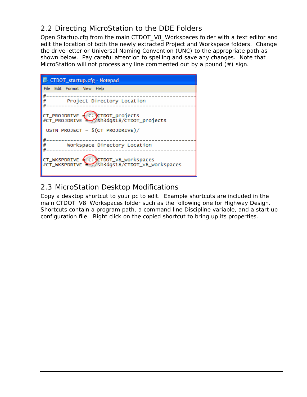## <span id="page-4-0"></span>2.2 Directing MicroStation to the DDE Folders

Open Startup.cfg from the main CTDOT\_V8\_Workspaces folder with a text editor and edit the location of both the newly extracted Project and Workspace folders. Change the drive letter or Universal Naming Convention (UNC) to the appropriate path as shown below. Pay careful attention to spelling and save any changes. Note that MicroStation will not process any line commented out by a pound  $(\#)$  sign.



## 2.3 MicroStation Desktop Modifications

Copy a desktop shortcut to your pc to edit. Example shortcuts are included in the main CTDOT\_V8\_Workspaces folder such as the following one for Highway Design. Shortcuts contain a program path, a command line Discipline variable, and a start up configuration file. Right click on the copied shortcut to bring up its properties.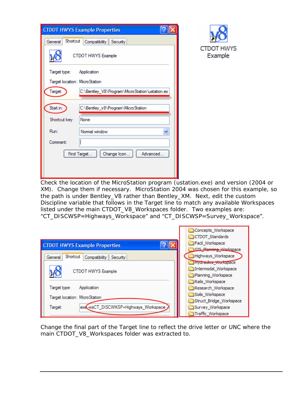| <b>CTDOT HWYS Example Properties</b>                      |  |  |  |
|-----------------------------------------------------------|--|--|--|
| Shortcut<br>General<br>Compatibility Security             |  |  |  |
| CTDOT HWYS Example                                        |  |  |  |
| Target type:<br>Application                               |  |  |  |
| Target location: MicroStation                             |  |  |  |
| Target:<br>C:\Bentley_V8\Program\MicroStation\ustation.ex |  |  |  |
| Start in:<br>C:\Bentley_v8\Program\MicroStation           |  |  |  |
| None<br>Shortcut key:                                     |  |  |  |
| Normal window<br>Run:                                     |  |  |  |
| Comment:                                                  |  |  |  |
| Advanced<br>Find Target<br>Change Icon                    |  |  |  |
|                                                           |  |  |  |
|                                                           |  |  |  |



Check the location of the MicroStation program (ustation.exe) a nd version (2004 or XM). Change them if necessary. MicroStation 2004 was chosen for this example, so the path is under Bentley\_V8 rather than Bentley\_XM. Next, edit the custom Discipline variable that follows in the Target line to match any available Workspaces listed under the main CTDOT\_V8\_Workspaces folder. Two examples are: "CT\_DISCWSP=Highways\_Workspace" and "CT\_DISCWSP=Survey\_Workspace".

|                                                   | Concepts_Workspace            |
|---------------------------------------------------|-------------------------------|
|                                                   | CTDOT_Standards               |
| <b>CTDOT HWYS Example Properties</b>              | Facil_Workspace               |
|                                                   | <b>GIS Planning Workspace</b> |
| Shortcut<br>Compatibility<br>General<br>Security  | Highways_Workspace            |
|                                                   | Thydraulics_Workspace         |
| CTDOT HWYS Example                                | Intermodal_Workspace          |
|                                                   | Planning Workspace            |
|                                                   | Rails_Workspace               |
| Target type:<br>Application                       | Research_Workspace            |
|                                                   | Soils Workspace               |
| Target location: MicroStation                     | Struct_Bridge_Workspace       |
| exe wsCT_DISCWKSP=Highways_Workspace ><br>Target: | Survey_Workspace              |
|                                                   | Traffic_Workspace             |

Change the final part of the Target line to reflect the drive letter or UNC where the main CTDOT\_V8\_Workspaces folder was extracted to.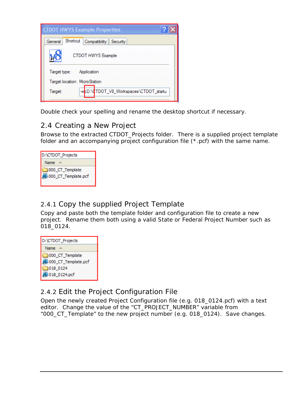<span id="page-6-0"></span>

| <b>CTDOT HWYS Example Properties</b>              |  |  |  |
|---------------------------------------------------|--|--|--|
| Shortcut<br>Compatibility<br>General<br>Security  |  |  |  |
| CTDOT HWYS Example                                |  |  |  |
| Target type:<br>Application                       |  |  |  |
| Target location: MicroStation                     |  |  |  |
| -wpD:\0TDOT_V8_Workspaces\CTDOT_startu<br>Target: |  |  |  |

Double check your spelling and rename the desktop shortcut if necessary.

## 2.4 Creating a New Project

Browse to the extracted CTDOT\_Projects folder. There is a supplied project template folder and an accompanying project configuration file (\*.pcf) with the same name.



## 2.4.1 Copy the supplied Project Template

Copy and paste both the template folder and configuration file to create a new project. Rename them both using a valid State or Federal Project Number such as 018\_0124.



## 2.4.2 Edit the Project Configuration File

Open the newly created Project Configuration file (e.g. 018\_0124.pcf) with a text editor. Change the value of the "CT\_PROJECT\_NUMBER" variable from "000\_CT\_Template" to the new project number (e.g. 018\_0124). Save changes.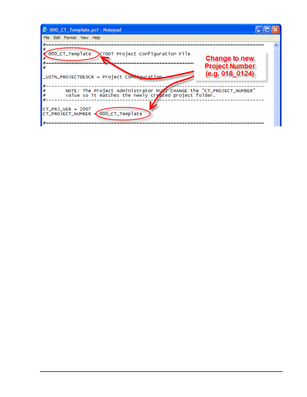| 000_CT_Template.pcf - Notepad                                                                                                                                                               |                                                           |
|---------------------------------------------------------------------------------------------------------------------------------------------------------------------------------------------|-----------------------------------------------------------|
| File Edit Format View Help                                                                                                                                                                  |                                                           |
| 000_CT_Template<br>CTDOT Project Configuration File<br>_USTN_PROJECTDESCR = Project Comitquration                                                                                           | Change to new<br><b>Project Number</b><br>(e.g. 018 0124) |
| NOTE: The Project Administrator MUST CHANGE the "CT_PROJECT_NUMBER"<br>value so it matches the newly created project folder.<br>$CT_P$ RJ VER = 2007<br>CT_PROJECT_NUMBER = 000_CT_Template |                                                           |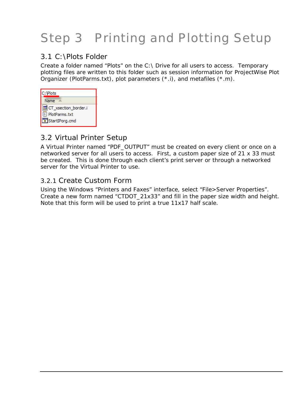# <span id="page-8-0"></span>Step 3 Printing and Plotting Setup

#### 3.1 C:\Plots Folder

Create a folder named "Plots" on the  $C:\Upsilon$  Drive for all users to access. Temporary plotting files are written to this folder such as session information for ProjectWise Plot Organizer (PlotParms.txt), plot parameters (\*.i), and metafiles (\*.m).

| C: VPlots             |  |
|-----------------------|--|
| Name                  |  |
| 圖CT_xsection_border.i |  |
| PlotParms.txt         |  |
| StartIPorg.cmd        |  |

### 3.2 Virtual Printer Setup

A Virtual Printer named "PDF\_OUTPUT" must be created on every cl ient or once on a networked server for all users to access. First, a custom paper size of 21 x 33 must be created. This is done through each client's print server or th rough a networked server for the Virtual Printer to use.

#### 3.2.1 Create Custom Form

Using the Windows "Printers and Faxes" interface, select "File>Serve r Properties". Create a new form named "CTDOT\_21x33" and fill in the paper size width and height. Note that this form will be used to print a true 11x17 half scale.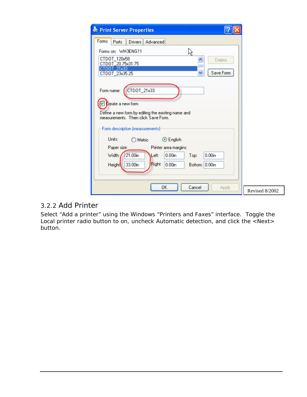<span id="page-9-0"></span>

| <b>E</b> Print Server Properties                                                          |                |
|-------------------------------------------------------------------------------------------|----------------|
| Forms<br>Drivers   Advanced<br>Ports                                                      |                |
| Forms on: WH3ENG11<br>以                                                                   |                |
| CTD0T_120x58<br>Delete                                                                    |                |
| CTD0T 20.75x31.75<br>CTDOT 21x33                                                          |                |
| Save Form<br>CTDOT_23x35.25                                                               |                |
| CTDOT_21x33<br>Form name:                                                                 |                |
|                                                                                           |                |
| Create a new form                                                                         |                |
| Define a new form by editing the existing name and<br>measurements. Then click Save Form. |                |
|                                                                                           |                |
| Form description (measurements)                                                           |                |
| Units:<br>⊙ English<br>Metric                                                             |                |
| Paper size:<br>Printer area margins:                                                      |                |
| 21.00in<br>$0.00$ in<br>Width:<br>$0.00$ in<br>Left:<br>Top:                              |                |
| Right:<br>33.00in<br>$0.00$ in<br>Bottom: 0.00in<br><b>Height</b>                         |                |
|                                                                                           |                |
|                                                                                           |                |
| OK<br>Cancel<br>Apply                                                                     | Revised 8/2002 |

#### 3.2.2 Add Printer

xes" interface. Toggle the ion, and click the <Next> Select "Add a printer" using the Windows "Printers and Fa Local printer radio button to on, uncheck Automatic detect button.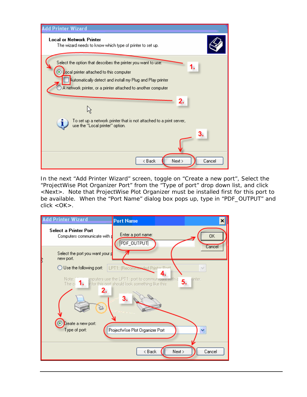| <b>Add Printer Wizard</b>                                                                                                                                                                                                                          |
|----------------------------------------------------------------------------------------------------------------------------------------------------------------------------------------------------------------------------------------------------|
| <b>Local or Network Printer</b><br>The wizard needs to know which type of printer to set up.                                                                                                                                                       |
| Select the option that describes the printer you want to use:<br>1.<br><b>Local printer attached to this computer</b><br>Automatically detect and install my Plug and Play printer<br>A network printer, or a printer attached to another computer |
| 2.                                                                                                                                                                                                                                                 |
| To set up a network printer that is not attached to a print server,<br>î,<br>use the "Local printer" option.                                                                                                                                       |
| 3.                                                                                                                                                                                                                                                 |
| Next ><br>< Back<br>Cancel                                                                                                                                                                                                                         |

In the next "Add Printer Wizard" screen, toggle on "Create a new port", Select the ProjectWise Plot Organizer Port" from the "Type of port" drop down list, and click for this port to F\_OUTPUT" and " <Next>. Note that ProjectWise Plot Organizer must be installed first be available. When the "Port Name" dialog box pops up, type in "PD click <OK>.

| <b>Add Printer Wizard</b>                                            | <b>Port Name</b>                                                                                                                          |                     |
|----------------------------------------------------------------------|-------------------------------------------------------------------------------------------------------------------------------------------|---------------------|
| Select a Printer Port<br>Computers communicate with p                | Enter a port name:<br>PDF_OUTPUT                                                                                                          | <b>OK</b><br>Cancel |
| Select the port you want your p<br>new port.                         |                                                                                                                                           |                     |
| Use the following port:                                              | LPT1: (Recommended Printer Port)                                                                                                          | $\checkmark$        |
| Note:<br>The $\circ$ 1.<br>2.<br>Create a new port:<br>Type of port: | imputers use the LPT1: port to communicate with a<br>or for this port should look something like this:<br>ProjectWise Plot Organizer Port | rinter.<br>5.<br>۷  |
|                                                                      | Next ><br>< Back                                                                                                                          | Cancel              |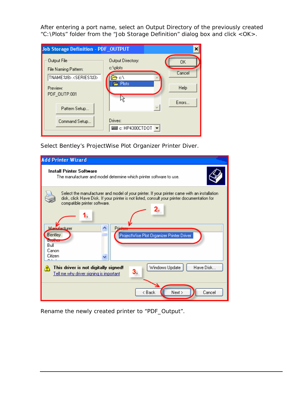After entering a port name, select an Output Directory of the previously created "C:\Plots" folder from the "Job Storage Definition" dialog box and click <OK>.

| Job Storage Definition - PDF_OUTPUT                                                                     |                                                            |                                |
|---------------------------------------------------------------------------------------------------------|------------------------------------------------------------|--------------------------------|
| Output File<br>File Naming Pattern:<br>TNAME%f8>. <series%i3><br/>Preview:<br/>PDF_OUTP.001</series%i3> | <b>Output Directory:</b><br>c:\plots<br>c۸<br><b>Plots</b> | 0K<br>Cancel<br>Help<br>Errors |
| Pattern Setup<br>Command Setup                                                                          | Drives:<br>$\equiv$ c: HP4300CTD0T                         |                                |

Select Bentley's ProjectWise Plot Organizer Printer Diver.



Rename the newly created printer to "PDF\_Output".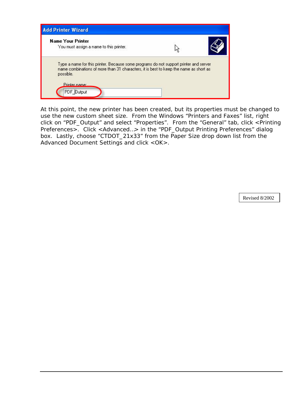

At this point, the new printer has been created, but its properties must be chang ed to use the new custom sheet size. From the Windows "Printers and Faxes" list, right click on "PDF\_Output" and select "Properties". From the "General" tab, click <P rinting Preferences>. Click <Advanced...> in the "PDF\_Output Printing Preferences" dialog box. Lastly, choose "CTDOT\_21x33" from the Paper Size drop down list from the Advanced Document Settings and click < OK >.

Revised 8/2002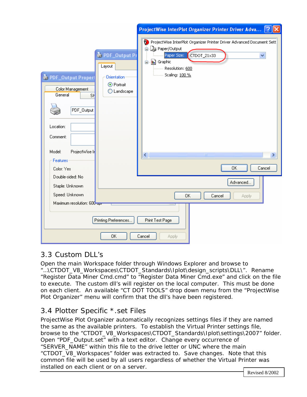<span id="page-13-0"></span>

|                                                                                                                                                      |                                                                        | ProjectWise InterPlot Organizer Printer Driver Adva ?                                                                                                                                                                                            |  |
|------------------------------------------------------------------------------------------------------------------------------------------------------|------------------------------------------------------------------------|--------------------------------------------------------------------------------------------------------------------------------------------------------------------------------------------------------------------------------------------------|--|
| PDF_Output Propert<br>Color Management<br>General<br>SH<br>PDF_Output<br>Location:<br>Comment:<br>ProjectWise In<br>Model:<br>Features<br>Color: Yes | PDF_Output Pr<br>Layout<br>Orientation<br>⊙ Portrait<br>Landscape<br>◯ | ProjectWise InterPlot Organizer Printer Driver Advanced Document Sett<br>as Paper/Output<br>⊟<br>Paper Size:<br>CTDOT_21x33<br>v<br><b>In</b> ] Graphic<br>ė.<br>Resolution: 600<br>Scaling: 100 %<br><br>∢<br><b>IIII</b><br>×.<br>0K<br>Cancel |  |
| Double-sided: No                                                                                                                                     |                                                                        |                                                                                                                                                                                                                                                  |  |
| Staple: Unknown                                                                                                                                      |                                                                        | Advanced                                                                                                                                                                                                                                         |  |
| Speed: Unknown                                                                                                                                       |                                                                        | ΟK<br>Cancel<br>Apply                                                                                                                                                                                                                            |  |
| Maximum resolution: 600-apr                                                                                                                          |                                                                        |                                                                                                                                                                                                                                                  |  |
| Printing Preferences<br>Print Test Page                                                                                                              |                                                                        |                                                                                                                                                                                                                                                  |  |
| 0K<br>Cancel<br><b>Apply</b>                                                                                                                         |                                                                        |                                                                                                                                                                                                                                                  |  |

## 3.3 Custom DLL's

Open the main Workspace folder through Windows Explorer and browse to "…\CTDOT\_V8\_Workspaces\CTDOT\_Standards\Iplot\design\_scripts\DLL\". Rename "Register Data Miner Cmd.cmd" to "Register Data Miner Cmd.exe" and click on the file to execute. The custom dll's will register on the local computer. This must be done on each client. An available "CT DOT TOOLS" drop down menu from the "ProjectWise Plot Organizer" menu will confirm that the dll's have been registered.

## 3.4 Plotter Specific \*.set Files

ProjectWise Plot Organizer automatically recognizes settings files if they are named the same as the available printers. To establish the Virtual Printer settings file, browse to the "CTDOT\_V8\_Workspaces\CTDOT\_Standards\Iplot\settings\2007" folder. "SERVER\_NAME" within this file to the drive letter or UNC where the main "CTDOT\_V8\_Workspaces" folder was extracted to. Save changes. Note that this common file will be used by all users regardless of whether the Virtual Printer was installed on each client or on a server. Open "PDF\_Output.set" with a text editor. Change every occurrence of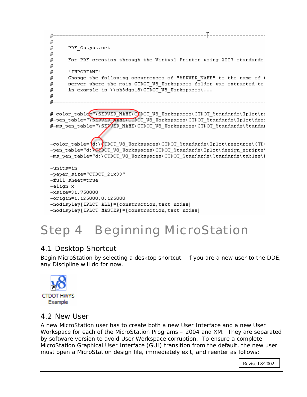```
#
#
     PDF Output.set
#
#
     For PDF creation through the Virtual Printer using 2007 standards
#
₩
     ! IMPORTANT!
#
     Change the following occurrences of "SERVER NAME" to the name of t
     server where the main CTDOT V8 Workspaces folder was extracted to.
#
#
     An example is \\sh3dgs18\CTDOT V8 Workspaces\...
#
#−−
#-color table="\SERVER NAME\CODOT V8 Workspaces\CTDOT Standards\Iplot\re
#-pen table="\SERVER_MAME\CTDOT V8 Workspaces\CTDOT Standards\Iplot\des:
#-ms pen table="\SERVER NAME\CTDOT V8 Workspaces\CTDOT Standards\Standar
-color table="d:\¢TDOT V8 Workspaces\CTDOT Standards\Iplot\resource\CTD(
-pen table="d:\GTDOT V8 Workspaces\CTDOT Standards\Iplot\design scripts\
-ms_pen_table="d:\CTDOT_V8_Workspaces\CTDOT_Standards\Standards\tables\I
-units=in
-paper size="CTDOT 21x33"
-full sheet=true
-align x
-xsize=31.750000
```

```
-original:125000, 0.125000
```

```
-nodisplay[IPLOT ALL] = [construction, text nodes]
-nodisplay[IPLOT MASTER] = [construction, text nodes]
```
# Step 4 Beginning Micr oStation

## 4.1 Desktop Shortcut

Begin MicroStation by selecting a desktop shortcut. If you are a new user to the DDE, any Discipline will do for now.



## 4.2 New User

A new MicroStation user has to create both a new User Interface and a new User Workspace for each of the MicroStation Programs – 2004 and XM. They are separated by software version to avoid User Workspace corruption. To ensure a complete MicroStation Graphical User Interface (GUI) transition from the default, the new user must open a MicroStation design file, immediately exit, and reenter as follows:

Revised 8/2002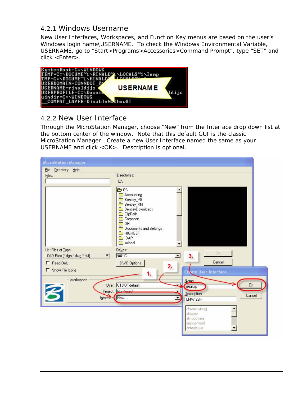#### <span id="page-15-0"></span>4.2.1 Windows Username

New User Interfaces, Workspaces, and Function Key menus are based on the user's Windows login name\USERNAME. To check the Windows Environmental Variable, USERNAME, go to "Start>Programs>Accessories>Command Prompt", type "SET" and click <Enter>.



#### 4.2.2 New User Interface

Through the MicroStation Manager, choose "New" from the Interface drop down list at the bottom center of the window. Note that this default GUI is the classic MicroStation Manager. Create a new User Interface named the same as your USERNAME and click <OK>. Description is optional.

| <b>MicroStation Manager</b>                                              |                                                                                                                                                                             |
|--------------------------------------------------------------------------|-----------------------------------------------------------------------------------------------------------------------------------------------------------------------------|
| File Directory Help                                                      |                                                                                                                                                                             |
| Files:                                                                   | Directories:<br>CA                                                                                                                                                          |
|                                                                          | <b>DCV</b><br>Accounting<br>Bentley_V8<br>Bentley_XM<br>BentleyDownloads<br>ClipPath<br>Corpscon<br>$\Box$ DH<br>Documents and Settings<br>HIGHEST<br><b>DAPI</b><br>mlocal |
| List Files of Type:<br>CAD Files [*.dgn,*.dwg,*.dxf]<br>▼<br>F Read-Only | Drives:<br>DK.<br>D €<br>$\blacksquare$<br>3.<br>Cancel<br>DWG Options                                                                                                      |
| Show File Icons                                                          | 2.<br>Create User Interface                                                                                                                                                 |
| Workspace<br>Interface New                                               | Name:<br>User: CTDOTdefault<br>QK<br><i>I</i> rinaldijs<br>Project: No Project<br>Description:<br>Cancel<br>LMW 28IF                                                        |
|                                                                          | abramowiczgi<br>akosae<br>almodovara<br>amohamood<br>antoniakyo                                                                                                             |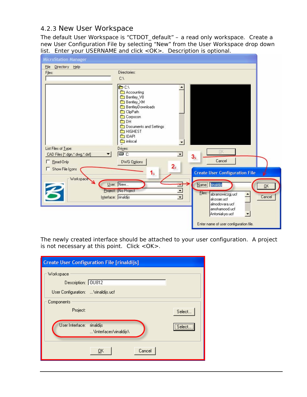#### <span id="page-16-0"></span>4.2.3 New User Workspace

The default User Workspace is "CTDOT\_default" – a read only workspace. Create a new User Configuration File by selecting "New" from the User Workspace drop down list. Enter your USERNAME and click <OK>. Description is optional.

| <b>MicroStation Manager</b>                  |                                                                                                                                                                                                                                    |                                     |
|----------------------------------------------|------------------------------------------------------------------------------------------------------------------------------------------------------------------------------------------------------------------------------------|-------------------------------------|
| File Directory Help                          |                                                                                                                                                                                                                                    |                                     |
| Files:                                       | Directories:<br>C:V                                                                                                                                                                                                                |                                     |
|                                              | <b>DCV</b><br>Accounting<br>Bentley_V8<br>Bentley_XM<br>∩<br>BentleyDownloads<br>ClipPath<br>Corpscon<br>ODH<br>Documents and Settings<br>HIGHEST<br><b>DAPI</b><br>mlocal                                                         |                                     |
| List Files of Type:                          | Drives:<br><b>DK</b><br>OC:<br>$\blacktriangledown$                                                                                                                                                                                |                                     |
| CAD Files [*.dgn,*.dwg,*.dxf]<br>F Read-Only | 3.<br>Cancel<br>DWG Options                                                                                                                                                                                                        |                                     |
| Show File Icons                              | 2.                                                                                                                                                                                                                                 |                                     |
|                                              | 1.<br><b>Create User Configuration File</b>                                                                                                                                                                                        |                                     |
| Workspace<br>F                               | Name: rinaldijs<br>User: New<br>Project:   No Project<br>$\blacktriangledown$<br>Eiles:<br>abramowiczgj.ucf<br>$\overline{\phantom{0}}$<br>Interface: rinaldijs<br>akosae.ucf<br>almodovara.ucf<br>amohamood.ucf<br>Antoniakyo.ucf | $\overline{\mathsf{D}}$ K<br>Cancel |
|                                              | Enter name of user configuration file.                                                                                                                                                                                             |                                     |

The newly created interface should be attached to your user configuration. A project is not necessary at this point. Click <OK>.

| <b>Create User Configuration File [rinaldijs]</b>   |        |
|-----------------------------------------------------|--------|
| Workspace                                           |        |
| Description: 0U812                                  |        |
| User Configuration:  \rinaldijs.ucf                 |        |
| Components                                          |        |
| Project:                                            | Select |
|                                                     |        |
| User Interface: rinaldijs<br>\Interfaces\rinaldijs\ | Select |
|                                                     |        |
| Cancel<br><u>ок</u>                                 |        |
|                                                     |        |